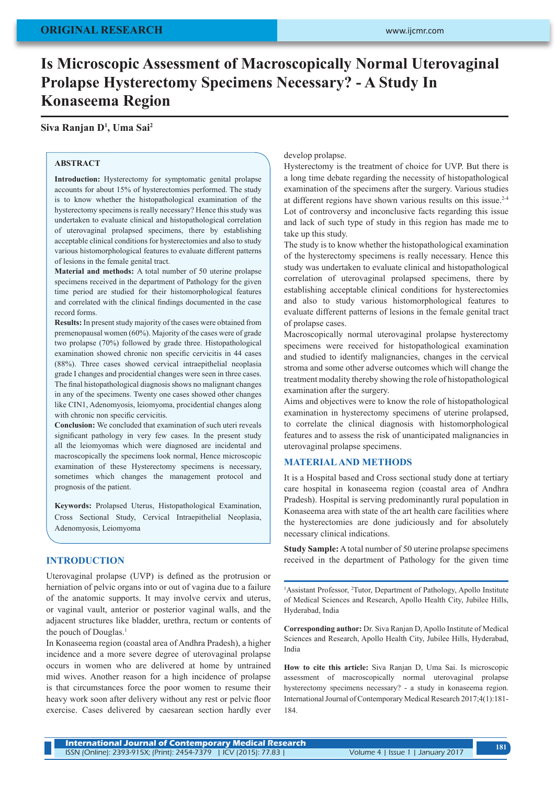# **Is Microscopic Assessment of Macroscopically Normal Uterovaginal Prolapse Hysterectomy Specimens Necessary? - A Study In Konaseema Region**

## **Siva Ranjan D1 , Uma Sai2**

## **ABSTRACT**

**Introduction:** Hysterectomy for symptomatic genital prolapse accounts for about 15% of hysterectomies performed. The study is to know whether the histopathological examination of the hysterectomy specimens is really necessary? Hence this study was undertaken to evaluate clinical and histopathological correlation of uterovaginal prolapsed specimens, there by establishing acceptable clinical conditions for hysterectomies and also to study various histomorphological features to evaluate different patterns of lesions in the female genital tract.

**Material and methods:** A total number of 50 uterine prolapse specimens received in the department of Pathology for the given time period are studied for their histomorphological features and correlated with the clinical findings documented in the case record forms.

**Results:** In present study majority of the cases were obtained from premenopausal women (60%). Majority of the cases were of grade two prolapse (70%) followed by grade three. Histopathological examination showed chronic non specific cervicitis in 44 cases (88%). Three cases showed cervical intraepithelial neoplasia grade I changes and procidential changes were seen in three cases. The final histopathological diagnosis shows no malignant changes in any of the specimens. Twenty one cases showed other changes like CIN1, Adenomyosis, leiomyoma, procidential changes along with chronic non specific cervicitis.

**Conclusion:** We concluded that examination of such uteri reveals significant pathology in very few cases. In the present study all the leiomyomas which were diagnosed are incidental and macroscopically the specimens look normal, Hence microscopic examination of these Hysterectomy specimens is necessary, sometimes which changes the management protocol and prognosis of the patient.

**Keywords:** Prolapsed Uterus, Histopathological Examination, Cross Sectional Study, Cervical Intraepithelial Neoplasia, Adenomyosis, Leiomyoma

## **INTRODUCTION**

Uterovaginal prolapse (UVP) is defined as the protrusion or herniation of pelvic organs into or out of vagina due to a failure of the anatomic supports. It may involve cervix and uterus, or vaginal vault, anterior or posterior vaginal walls, and the adjacent structures like bladder, urethra, rectum or contents of the pouch of Douglas.<sup>1</sup>

In Konaseema region (coastal area of Andhra Pradesh), a higher incidence and a more severe degree of uterovaginal prolapse occurs in women who are delivered at home by untrained mid wives. Another reason for a high incidence of prolapse is that circumstances force the poor women to resume their heavy work soon after delivery without any rest or pelvic floor exercise. Cases delivered by caesarean section hardly ever develop prolapse.

Hysterectomy is the treatment of choice for UVP. But there is a long time debate regarding the necessity of histopathological examination of the specimens after the surgery. Various studies at different regions have shown various results on this issue.2-4 Lot of controversy and inconclusive facts regarding this issue and lack of such type of study in this region has made me to take up this study.

The study is to know whether the histopathological examination of the hysterectomy specimens is really necessary. Hence this study was undertaken to evaluate clinical and histopathological correlation of uterovaginal prolapsed specimens, there by establishing acceptable clinical conditions for hysterectomies and also to study various histomorphological features to evaluate different patterns of lesions in the female genital tract of prolapse cases.

Macroscopically normal uterovaginal prolapse hysterectomy specimens were received for histopathological examination and studied to identify malignancies, changes in the cervical stroma and some other adverse outcomes which will change the treatment modality thereby showing the role of histopathological examination after the surgery.

Aims and objectives were to know the role of histopathological examination in hysterectomy specimens of uterine prolapsed, to correlate the clinical diagnosis with histomorphological features and to assess the risk of unanticipated malignancies in uterovaginal prolapse specimens.

#### **MATERIAL AND METHODS**

It is a Hospital based and Cross sectional study done at tertiary care hospital in konaseema region (coastal area of Andhra Pradesh). Hospital is serving predominantly rural population in Konaseema area with state of the art health care facilities where the hysterectomies are done judiciously and for absolutely necessary clinical indications.

**Study Sample:** A total number of 50 uterine prolapse specimens received in the department of Pathology for the given time

<sup>1</sup>Assistant Professor, <sup>2</sup>Tutor, Department of Pathology, Apollo Institute of Medical Sciences and Research, Apollo Health City, Jubilee Hills, Hyderabad, India

**Corresponding author:** Dr. Siva Ranjan D, Apollo Institute of Medical Sciences and Research, Apollo Health City, Jubilee Hills, Hyderabad, India

**How to cite this article:** Siva Ranjan D, Uma Sai. Is microscopic assessment of macroscopically normal uterovaginal prolapse hysterectomy specimens necessary? - a study in konaseema region. International Journal of Contemporary Medical Research 2017;4(1):181- 184.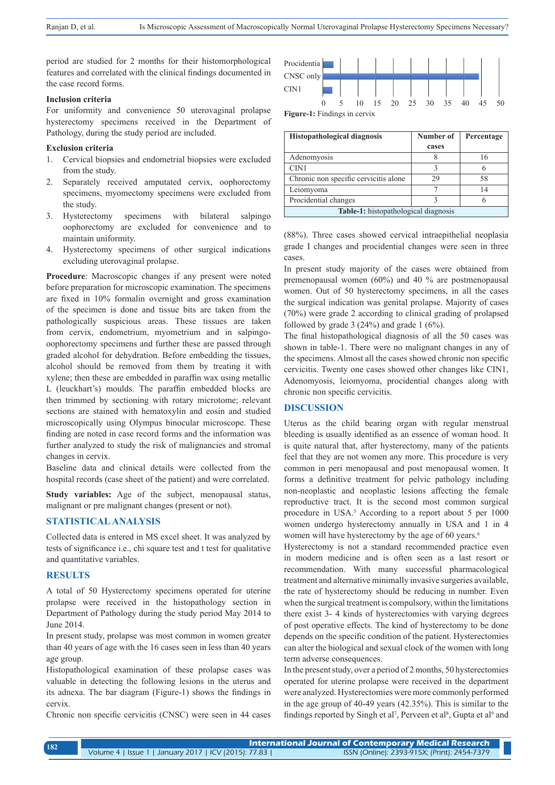period are studied for 2 months for their histomorphological features and correlated with the clinical findings documented in the case record forms.

#### **Inclusion criteria**

For uniformity and convenience 50 uterovaginal prolapse hysterectomy specimens received in the Department of Pathology, during the study period are included.

#### **Exclusion criteria**

- 1. Cervical biopsies and endometrial biopsies were excluded from the study.
- 2. Separately received amputated cervix, oophorectomy specimens, myomectomy specimens were excluded from the study.
- 3. Hysterectomy specimens with bilateral salpingo oophorectomy are excluded for convenience and to maintain uniformity.
- 4. Hysterectomy specimens of other surgical indications excluding uterovaginal prolapse.

**Procedure**: Macroscopic changes if any present were noted before preparation for microscopic examination. The specimens are fixed in 10% formalin overnight and gross examination of the specimen is done and tissue bits are taken from the pathologically suspicious areas. These tissues are taken from cervix, endometrium, myometrium and in salpingooophorectomy specimens and further these are passed through graded alcohol for dehydration. Before embedding the tissues, alcohol should be removed from them by treating it with xylene; then these are embedded in paraffin wax using metallic L (leuckhart's) moulds. The paraffin embedded blocks are then trimmed by sectioning with rotary microtome; relevant sections are stained with hematoxylin and eosin and studied microscopically using Olympus binocular microscope. These finding are noted in case record forms and the information was further analyzed to study the risk of malignancies and stromal changes in cervix.

Baseline data and clinical details were collected from the hospital records (case sheet of the patient) and were correlated.

**Study variables:** Age of the subject, menopausal status, malignant or pre malignant changes (present or not).

## **STATISTICAL ANALYSIS**

Collected data is entered in MS excel sheet. It was analyzed by tests of significance i.e., chi square test and t test for qualitative and quantitative variables.

## **RESULTS**

A total of 50 Hysterectomy specimens operated for uterine prolapse were received in the histopathology section in Department of Pathology during the study period May 2014 to June 2014.

In present study, prolapse was most common in women greater than 40 years of age with the 16 cases seen in less than 40 years age group.

Histopathological examination of these prolapse cases was valuable in detecting the following lesions in the uterus and its adnexa. The bar diagram (Figure-1) shows the findings in cervix.

Chronic non specific cervicitis (CNSC) were seen in 44 cases



| Histopathological diagnosis                 | Number of | Percentage |  |  |
|---------------------------------------------|-----------|------------|--|--|
|                                             | cases     |            |  |  |
| Adenomyosis                                 |           | 16         |  |  |
| CIN1                                        |           |            |  |  |
| Chronic non specific cervicitis alone       | 29        | 58         |  |  |
| Leiomyoma                                   |           | 14         |  |  |
| Procidential changes                        |           |            |  |  |
| <b>Table-1:</b> histopathological diagnosis |           |            |  |  |

(88%). Three cases showed cervical intraepithelial neoplasia grade I changes and procidential changes were seen in three cases.

In present study majority of the cases were obtained from premenopausal women (60%) and 40 % are postmenopausal women. Out of 50 hysterectomy specimens, in all the cases the surgical indication was genital prolapse. Majority of cases (70%) were grade 2 according to clinical grading of prolapsed followed by grade  $3(24%)$  and grade  $1(6%)$ .

The final histopathological diagnosis of all the 50 cases was shown in table-1. There were no malignant changes in any of the specimens. Almost all the cases showed chronic non specific cervicitis. Twenty one cases showed other changes like CIN1, Adenomyosis, leiomyoma, procidential changes along with chronic non specific cervicitis.

#### **DISCUSSION**

Uterus as the child bearing organ with regular menstrual bleeding is usually identified as an essence of woman hood. It is quite natural that, after hysterectomy, many of the patients feel that they are not women any more. This procedure is very common in peri menopausal and post menopausal women. It forms a definitive treatment for pelvic pathology including non-neoplastic and neoplastic lesions affecting the female reproductive tract. It is the second most common surgical procedure in USA.<sup>5</sup> According to a report about 5 per 1000 women undergo hysterectomy annually in USA and 1 in 4 women will have hysterectomy by the age of 60 years.<sup>6</sup>

Hysterectomy is not a standard recommended practice even in modern medicine and is often seen as a last resort or recommendation. With many successful pharmacological treatment and alternative minimally invasive surgeries available, the rate of hysterectomy should be reducing in number. Even when the surgical treatment is compulsory, within the limitations there exist 3- 4 kinds of hysterectomies with varying degrees of post operative effects. The kind of hysterectomy to be done depends on the specific condition of the patient. Hysterectomies can alter the biological and sexual clock of the women with long term adverse consequences.

In the present study, over a period of 2 months, 50 hysterectomies operated for uterine prolapse were received in the department were analyzed. Hysterectomies were more commonly performed in the age group of 40-49 years (42.35%). This is similar to the findings reported by Singh et al<sup>7</sup>, Perveen et al<sup>8</sup>, Gupta et al<sup>9</sup> and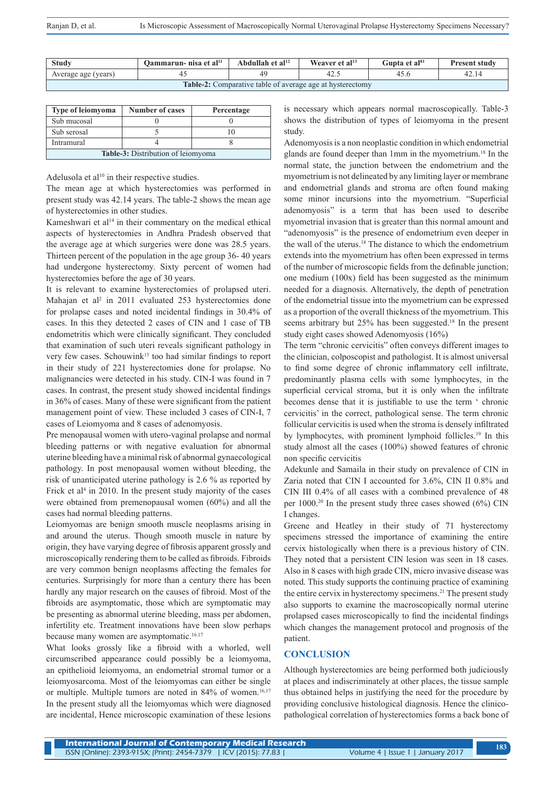| <b>Study</b>                                                     | Oammarun- nisa et al <sup>11</sup> | Abdullah et al <sup>12</sup> | Weaver et al <sup>13</sup> | Gupta et al <sup>sı</sup> | <b>Present study</b> |  |
|------------------------------------------------------------------|------------------------------------|------------------------------|----------------------------|---------------------------|----------------------|--|
| Average age (years)                                              |                                    |                              | 42.5                       |                           |                      |  |
| <b>Table-2:</b> Comparative table of average age at hysterectomy |                                    |                              |                            |                           |                      |  |

| <b>Type of leiomyoma</b>           | <b>Number of cases</b> | Percentage |  |  |
|------------------------------------|------------------------|------------|--|--|
| Sub mucosal                        |                        |            |  |  |
| Sub serosal                        |                        |            |  |  |
| Intramural                         |                        |            |  |  |
| Table 3: Distribution of leiomyoma |                        |            |  |  |

Adelusola et al $10$  in their respective studies.

The mean age at which hysterectomies was performed in present study was 42.14 years. The table-2 shows the mean age of hysterectomies in other studies.

Kameshwari et al<sup>14</sup> in their commentary on the medical ethical aspects of hysterectomies in Andhra Pradesh observed that the average age at which surgeries were done was 28.5 years. Thirteen percent of the population in the age group 36- 40 years had undergone hysterectomy. Sixty percent of women had hysterectomies before the age of 30 years.

It is relevant to examine hysterectomies of prolapsed uteri. Mahajan et al<sup>2</sup> in 2011 evaluated 253 hysterectomies done for prolapse cases and noted incidental findings in 30.4% of cases. In this they detected 2 cases of CIN and 1 case of TB endometritis which were clinically significant. They concluded that examination of such uteri reveals significant pathology in very few cases. Schouwink<sup>15</sup> too had similar findings to report in their study of 221 hysterectomies done for prolapse. No malignancies were detected in his study. CIN-I was found in 7 cases. In contrast, the present study showed incidental findings in 36% of cases. Many of these were significant from the patient management point of view. These included 3 cases of CIN-I, 7 cases of Leiomyoma and 8 cases of adenomyosis.

Pre menopausal women with utero-vaginal prolapse and normal bleeding patterns or with negative evaluation for abnormal uterine bleeding have a minimal risk of abnormal gynaecological pathology. In post menopausal women without bleeding, the risk of unanticipated uterine pathology is 2.6 % as reported by Frick et al<sup>4</sup> in 2010. In the present study majority of the cases were obtained from premenopausal women (60%) and all the cases had normal bleeding patterns.

Leiomyomas are benign smooth muscle neoplasms arising in and around the uterus. Though smooth muscle in nature by origin, they have varying degree of fibrosis apparent grossly and microscopically rendering them to be called as fibroids. Fibroids are very common benign neoplasms affecting the females for centuries. Surprisingly for more than a century there has been hardly any major research on the causes of fibroid. Most of the fibroids are asymptomatic, those which are symptomatic may be presenting as abnormal uterine bleeding, mass per abdomen, infertility etc. Treatment innovations have been slow perhaps because many women are asymptomatic.<sup>16.17</sup>

What looks grossly like a fibroid with a whorled, well circumscribed appearance could possibly be a leiomyoma, an epithelioid leiomyoma, an endometrial stromal tumor or a leiomyosarcoma. Most of the leiomyomas can either be single or multiple. Multiple tumors are noted in 84% of women.<sup>16,17</sup> In the present study all the leiomyomas which were diagnosed are incidental, Hence microscopic examination of these lesions is necessary which appears normal macroscopically. Table-3 shows the distribution of types of leiomyoma in the present study.

Adenomyosis is a non neoplastic condition in which endometrial glands are found deeper than 1mm in the myometrium.18 In the normal state, the junction between the endometrium and the myometrium is not delineated by any limiting layer or membrane and endometrial glands and stroma are often found making some minor incursions into the myometrium. "Superficial adenomyosis" is a term that has been used to describe myometrial invasion that is greater than this normal amount and "adenomyosis" is the presence of endometrium even deeper in the wall of the uterus.<sup>18</sup> The distance to which the endometrium extends into the myometrium has often been expressed in terms of the number of microscopic fields from the definable junction; one medium (100x) field has been suggested as the minimum needed for a diagnosis. Alternatively, the depth of penetration of the endometrial tissue into the myometrium can be expressed as a proportion of the overall thickness of the myometrium. This seems arbitrary but 25% has been suggested.<sup>18</sup> In the present study eight cases showed Adenomyosis (16%)

The term "chronic cervicitis" often conveys different images to the clinician, colposcopist and pathologist. It is almost universal to find some degree of chronic inflammatory cell infiltrate, predominantly plasma cells with some lymphocytes, in the superficial cervical stroma, but it is only when the infiltrate becomes dense that it is justifiable to use the term ' chronic cervicitis' in the correct, pathological sense. The term chronic follicular cervicitis is used when the stroma is densely infiltrated by lymphocytes, with prominent lymphoid follicles.<sup>19</sup> In this study almost all the cases (100%) showed features of chronic non specific cervicitis

Adekunle and Samaila in their study on prevalence of CIN in Zaria noted that CIN I accounted for 3.6%, CIN II 0.8% and CIN III 0.4% of all cases with a combined prevalence of 48 per 1000.20 In the present study three cases showed (6%) CIN I changes.

Greene and Heatley in their study of 71 hysterectomy specimens stressed the importance of examining the entire cervix histologically when there is a previous history of CIN. They noted that a persistent CIN lesion was seen in 18 cases. Also in 8 cases with high grade CIN, micro invasive disease was noted. This study supports the continuing practice of examining the entire cervix in hysterectomy specimens.21 The present study also supports to examine the macroscopically normal uterine prolapsed cases microscopically to find the incidental findings which changes the management protocol and prognosis of the patient.

## **CONCLUSION**

Although hysterectomies are being performed both judiciously at places and indiscriminately at other places, the tissue sample thus obtained helps in justifying the need for the procedure by providing conclusive histological diagnosis. Hence the clinicopathological correlation of hysterectomies forms a back bone of